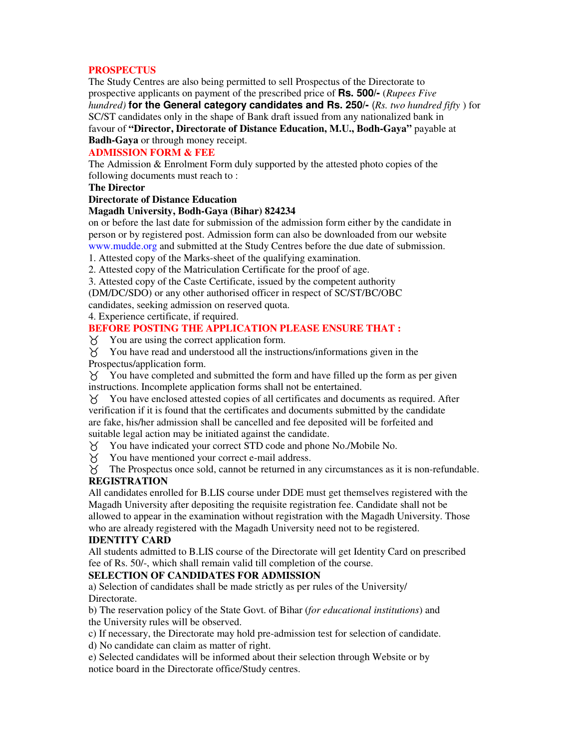# **PROSPECTUS**

The Study Centres are also being permitted to sell Prospectus of the Directorate to prospective applicants on payment of the prescribed price of **Rs. 500/-** (*Rupees Five hundred)* **for the General category candidates and Rs. 250/-** (*Rs. two hundred fifty* ) for SC/ST candidates only in the shape of Bank draft issued from any nationalized bank in favour of **"Director, Directorate of Distance Education, M.U., Bodh-Gaya"** payable at **Badh-Gaya** or through money receipt.

# **ADMISSION FORM & FEE**

The Admission & Enrolment Form duly supported by the attested photo copies of the following documents must reach to :

## **The Director**

## **Directorate of Distance Education**

## **Magadh University, Bodh-Gaya (Bihar) 824234**

on or before the last date for submission of the admission form either by the candidate in person or by registered post. Admission form can also be downloaded from our website www.mudde.org and submitted at the Study Centres before the due date of submission.

1. Attested copy of the Marks-sheet of the qualifying examination.

2. Attested copy of the Matriculation Certificate for the proof of age.

3. Attested copy of the Caste Certificate, issued by the competent authority

(DM/DC/SDO) or any other authorised officer in respect of SC/ST/BC/OBC

candidates, seeking admission on reserved quota.

4. Experience certificate, if required.

# **BEFORE POSTING THE APPLICATION PLEASE ENSURE THAT :**

Y You are using the correct application form.

 You have read and understood all the instructions/informations given in the Prospectus/application form.

 $\gamma$  You have completed and submitted the form and have filled up the form as per given instructions. Incomplete application forms shall not be entertained.

 You have enclosed attested copies of all certificates and documents as required. After verification if it is found that the certificates and documents submitted by the candidate are fake, his/her admission shall be cancelled and fee deposited will be forfeited and suitable legal action may be initiated against the candidate.

You have indicated your correct STD code and phone No./Mobile No.

You have mentioned your correct e-mail address.

 $\widetilde{X}$  The Prospectus once sold, cannot be returned in any circumstances as it is non-refundable.

# **REGISTRATION**

All candidates enrolled for B.LIS course under DDE must get themselves registered with the Magadh University after depositing the requisite registration fee. Candidate shall not be allowed to appear in the examination without registration with the Magadh University. Those who are already registered with the Magadh University need not to be registered.

# **IDENTITY CARD**

All students admitted to B.LIS course of the Directorate will get Identity Card on prescribed fee of Rs. 50/-, which shall remain valid till completion of the course.

# **SELECTION OF CANDIDATES FOR ADMISSION**

a) Selection of candidates shall be made strictly as per rules of the University/ Directorate.

b) The reservation policy of the State Govt. of Bihar (*for educational institutions*) and the University rules will be observed.

c) If necessary, the Directorate may hold pre-admission test for selection of candidate.

d) No candidate can claim as matter of right.

e) Selected candidates will be informed about their selection through Website or by notice board in the Directorate office/Study centres.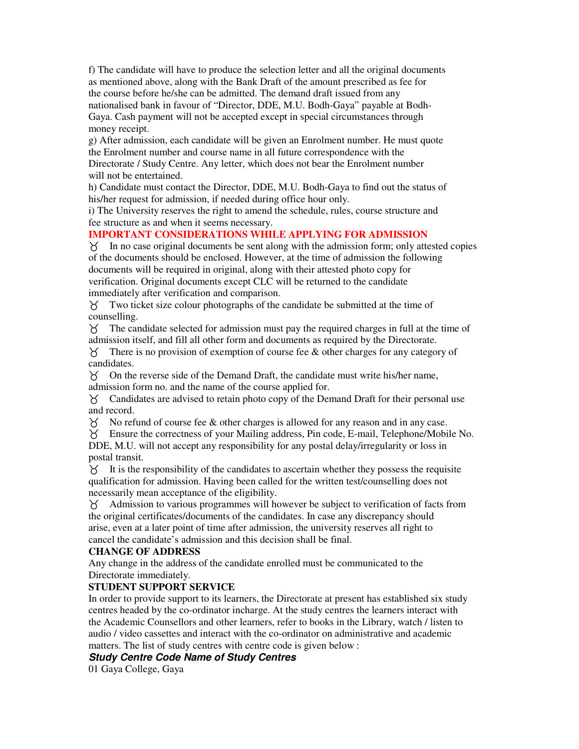f) The candidate will have to produce the selection letter and all the original documents as mentioned above, along with the Bank Draft of the amount prescribed as fee for the course before he/she can be admitted. The demand draft issued from any nationalised bank in favour of "Director, DDE, M.U. Bodh-Gaya" payable at Bodh-Gaya. Cash payment will not be accepted except in special circumstances through money receipt.

g) After admission, each candidate will be given an Enrolment number. He must quote the Enrolment number and course name in all future correspondence with the Directorate / Study Centre. Any letter, which does not bear the Enrolment number will not be entertained.

h) Candidate must contact the Director, DDE, M.U. Bodh-Gaya to find out the status of his/her request for admission, if needed during office hour only.

i) The University reserves the right to amend the schedule, rules, course structure and fee structure as and when it seems necessary.

# **IMPORTANT CONSIDERATIONS WHILE APPLYING FOR ADMISSION**

 $\gamma$  In no case original documents be sent along with the admission form; only attested copies of the documents should be enclosed. However, at the time of admission the following documents will be required in original, along with their attested photo copy for verification. Original documents except CLC will be returned to the candidate immediately after verification and comparison.

 Two ticket size colour photographs of the candidate be submitted at the time of counselling.

 The candidate selected for admission must pay the required charges in full at the time of admission itself, and fill all other form and documents as required by the Directorate.

 $\gamma$  There is no provision of exemption of course fee & other charges for any category of candidates.

 On the reverse side of the Demand Draft, the candidate must write his/her name, admission form no. and the name of the course applied for.

 Candidates are advised to retain photo copy of the Demand Draft for their personal use and record.

 $\chi$  No refund of course fee & other charges is allowed for any reason and in any case.

 Ensure the correctness of your Mailing address, Pin code, E-mail, Telephone/Mobile No. DDE, M.U. will not accept any responsibility for any postal delay/irregularity or loss in postal transit.

 $\chi$  It is the responsibility of the candidates to ascertain whether they possess the requisite qualification for admission. Having been called for the written test/counselling does not necessarily mean acceptance of the eligibility.

 Admission to various programmes will however be subject to verification of facts from the original certificates/documents of the candidates. In case any discrepancy should arise, even at a later point of time after admission, the university reserves all right to cancel the candidate's admission and this decision shall be final.

## **CHANGE OF ADDRESS**

Any change in the address of the candidate enrolled must be communicated to the Directorate immediately.

# **STUDENT SUPPORT SERVICE**

In order to provide support to its learners, the Directorate at present has established six study centres headed by the co-ordinator incharge. At the study centres the learners interact with the Academic Counsellors and other learners, refer to books in the Library, watch / listen to audio / video cassettes and interact with the co-ordinator on administrative and academic matters. The list of study centres with centre code is given below :

# **Study Centre Code Name of Study Centres**

01 Gaya College, Gaya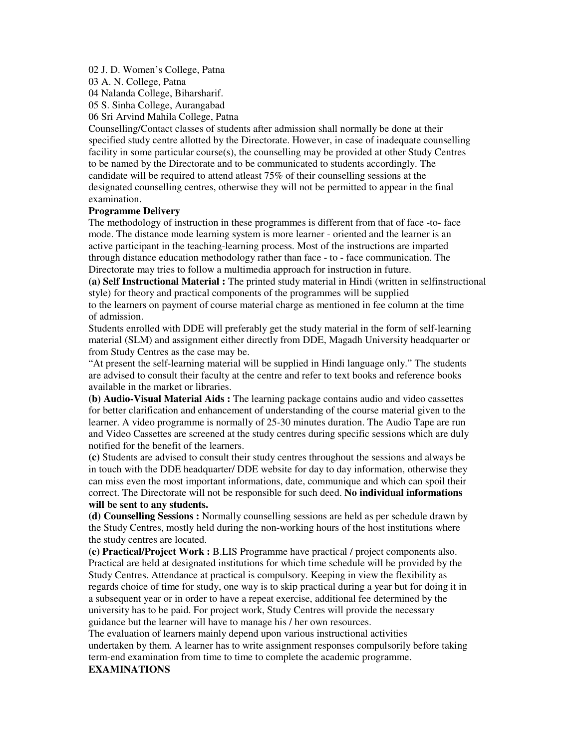#### 02 J. D. Women's College, Patna

03 A. N. College, Patna

04 Nalanda College, Biharsharif.

05 S. Sinha College, Aurangabad

06 Sri Arvind Mahila College, Patna

Counselling/Contact classes of students after admission shall normally be done at their specified study centre allotted by the Directorate. However, in case of inadequate counselling facility in some particular course(s), the counselling may be provided at other Study Centres to be named by the Directorate and to be communicated to students accordingly. The candidate will be required to attend atleast 75% of their counselling sessions at the designated counselling centres, otherwise they will not be permitted to appear in the final examination.

#### **Programme Delivery**

The methodology of instruction in these programmes is different from that of face -to- face mode. The distance mode learning system is more learner - oriented and the learner is an active participant in the teaching-learning process. Most of the instructions are imparted through distance education methodology rather than face - to - face communication. The Directorate may tries to follow a multimedia approach for instruction in future.

**(a) Self Instructional Material :** The printed study material in Hindi (written in selfinstructional style) for theory and practical components of the programmes will be supplied

to the learners on payment of course material charge as mentioned in fee column at the time of admission.

Students enrolled with DDE will preferably get the study material in the form of self-learning material (SLM) and assignment either directly from DDE, Magadh University headquarter or from Study Centres as the case may be.

"At present the self-learning material will be supplied in Hindi language only." The students are advised to consult their faculty at the centre and refer to text books and reference books available in the market or libraries.

**(b) Audio-Visual Material Aids :** The learning package contains audio and video cassettes for better clarification and enhancement of understanding of the course material given to the learner. A video programme is normally of 25-30 minutes duration. The Audio Tape are run and Video Cassettes are screened at the study centres during specific sessions which are duly notified for the benefit of the learners.

**(c)** Students are advised to consult their study centres throughout the sessions and always be in touch with the DDE headquarter/ DDE website for day to day information, otherwise they can miss even the most important informations, date, communique and which can spoil their correct. The Directorate will not be responsible for such deed. **No individual informations will be sent to any students.** 

**(d) Counselling Sessions :** Normally counselling sessions are held as per schedule drawn by the Study Centres, mostly held during the non-working hours of the host institutions where the study centres are located.

**(e) Practical/Project Work :** B.LIS Programme have practical / project components also. Practical are held at designated institutions for which time schedule will be provided by the Study Centres. Attendance at practical is compulsory. Keeping in view the flexibility as regards choice of time for study, one way is to skip practical during a year but for doing it in a subsequent year or in order to have a repeat exercise, additional fee determined by the university has to be paid. For project work, Study Centres will provide the necessary guidance but the learner will have to manage his / her own resources.

The evaluation of learners mainly depend upon various instructional activities undertaken by them. A learner has to write assignment responses compulsorily before taking term-end examination from time to time to complete the academic programme.

## **EXAMINATIONS**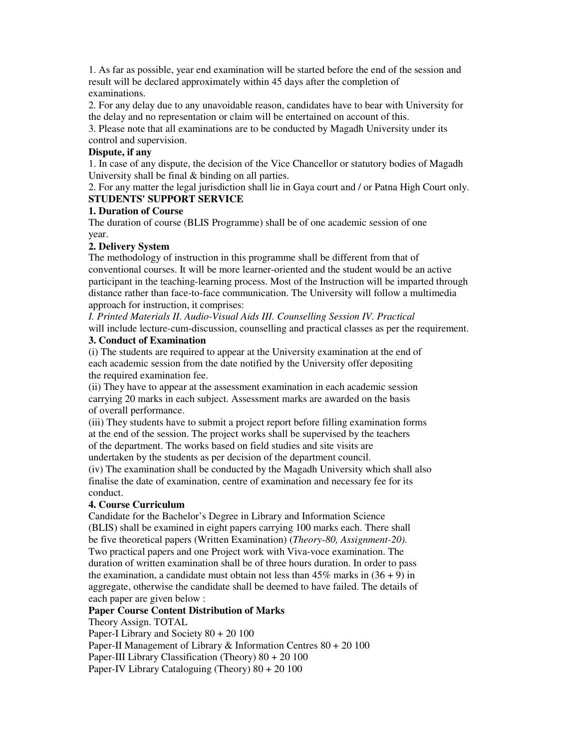1. As far as possible, year end examination will be started before the end of the session and result will be declared approximately within 45 days after the completion of examinations.

2. For any delay due to any unavoidable reason, candidates have to bear with University for the delay and no representation or claim will be entertained on account of this.

3. Please note that all examinations are to be conducted by Magadh University under its control and supervision.

# **Dispute, if any**

1. In case of any dispute, the decision of the Vice Chancellor or statutory bodies of Magadh University shall be final & binding on all parties.

2. For any matter the legal jurisdiction shall lie in Gaya court and / or Patna High Court only. **STUDENTS' SUPPORT SERVICE** 

## **1. Duration of Course**

The duration of course (BLIS Programme) shall be of one academic session of one year.

## **2. Delivery System**

The methodology of instruction in this programme shall be different from that of conventional courses. It will be more learner-oriented and the student would be an active participant in the teaching-learning process. Most of the Instruction will be imparted through distance rather than face-to-face communication. The University will follow a multimedia approach for instruction, it comprises:

*I. Printed Materials II. Audio-Visual Aids III. Counselling Session IV. Practical*  will include lecture-cum-discussion, counselling and practical classes as per the requirement.

#### **3. Conduct of Examination**

(i) The students are required to appear at the University examination at the end of each academic session from the date notified by the University offer depositing the required examination fee.

(ii) They have to appear at the assessment examination in each academic session carrying 20 marks in each subject. Assessment marks are awarded on the basis of overall performance.

(iii) They students have to submit a project report before filling examination forms at the end of the session. The project works shall be supervised by the teachers of the department. The works based on field studies and site visits are undertaken by the students as per decision of the department council.

(iv) The examination shall be conducted by the Magadh University which shall also finalise the date of examination, centre of examination and necessary fee for its conduct.

# **4. Course Curriculum**

Candidate for the Bachelor's Degree in Library and Information Science (BLIS) shall be examined in eight papers carrying 100 marks each. There shall be five theoretical papers (Written Examination) (*Theory-80, Assignment-20).*  Two practical papers and one Project work with Viva-voce examination. The duration of written examination shall be of three hours duration. In order to pass the examination, a candidate must obtain not less than  $45\%$  marks in  $(36 + 9)$  in aggregate, otherwise the candidate shall be deemed to have failed. The details of each paper are given below :

## **Paper Course Content Distribution of Marks**

Theory Assign. TOTAL

Paper-I Library and Society 80 + 20 100

Paper-II Management of Library & Information Centres 80 + 20 100

Paper-III Library Classification (Theory) 80 + 20 100

Paper-IV Library Cataloguing (Theory) 80 + 20 100